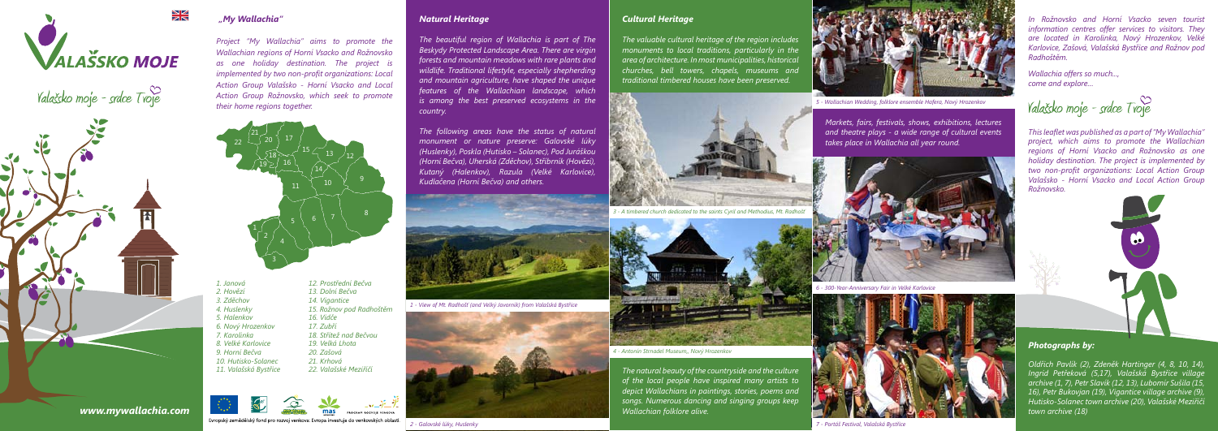

# Valašsko moje - srdce Tvoje



## *"My Wallachia"*

*Project "My Wallachia" aims to promote the Wallachian regions of Horní Vsacko and Rožnovsko as one holiday destination. The project is implemented by two non-profit organizations: Local Action Group Valašsko - Horní Vsacko and Local Action Group Rožnovsko, which seek to promote their home regions together.*

- *3. Zděchov 14. Vigantice 5. Halenkov 16. Vidče 6. Nový Hrozenkov 17. Zubří 8. Velké Karlovice 19. Velká Lhota 9. Horní Bečva 20. Zašová 10. Hutisko-Solanec 21. Krhová*
- *1. Janová 12. Prostřední Bečva 2. Hovězí 13. Dolní Bečva 4. Huslenky 15. Rožnov pod Radhoštěm 7. Karolinka 18. Střítež nad Bečvou 11. Valašská Bystřice 22. Valašské Meziříčí*





Evropský zemědělský fond pro rozvoj venkova: Evropa investuje do venkovských oblastí.

*www.mywallachia.com*

### *Natural Heritage*

*The beautiful region of Wallachia is part of The Beskydy Protected Landscape Area. There are virgin forests and mountain meadows with rare plants and wildlife. Traditional lifestyle, especially shepherding and mountain agriculture, have shaped the unique features of the Wallachian landscape, which is among the best preserved ecosystems in the country.* 

*The following areas have the status of natural monument or nature preserve: Galovské lúky (Huslenky), Poskla (Hutisko – Solanec), Pod Juráškou (Horní Bečva), Uherská (Zděchov), Stříbrník (Hovězí), Kutaný (Halenkov), Razula (Velké Karlovice), Kudlačena (Horní Bečva) and others.*



# *Cultural Heritage*

*The valuable cultural heritage of the region includes monuments to local traditions, particularly in the area of architecture. In most municipalities, historical churches, bell towers, chapels, museums and traditional timbered houses have been preserved.*





*The natural beauty of the countryside and the culture of the local people have inspired many artists to depict Wallachians in paintings, stories, poems and songs. Numerous dancing and singing groups keep Wallachian folklore alive.* 



*Markets, fairs, festivals, shows, exhibitions, lectures and theatre plays - a wide range of cultural events takes place in Wallachia all year round.*

### *2 - Galovské lúky, Huslenky*

*1 - View of Mt. Radhošť (and Velký Javorník) from Valašská Bystřice*





*3 - A timbered church dedicated to the saints Cyril and Methodius, Mt. Radhošť*

*4 - Antonín Strnadel Museum,, Nový Hrozenkov*



*6 - 300-Year-Anniversary Fair in Velké Karlovice*



*5 - Wallachian Wedding, folklore ensemble Hafera, Nový Hrozenkov*



*7 - Portáš Festival, Valašská Bystřice*

### *Photographs by:*

*Oldřich Pavlík (2), Zdeněk Hartinger (4, 8, 10, 14), Ingrid Petřeková (5,17), Valašská Bystřice village archive (1, 7), Petr Slavík (12, 13), Lubomír Sušila (15, 16), Petr Bukovjan (19), Vigantice village archive (9), Hutisko-Solanec town archive (20), Valašské Meziříčí town archive (18)*

*This leaflet was published as a part of "My Wallachia" project, which aims to promote the Wallachian regions of Horní Vsacko and Rožnovsko as one holiday destination. The project is implemented by two non-profit organizations: Local Action Group Valašsko - Horní Vsacko and Local Action Group Rožnovsko.*



*Wallachia offers so much..., come and explore…*

Yalašsko moje - srdce  $T$ voje

*In Rožnovsko and Horní Vsacko seven tourist information centres offer services to visitors. They are located in Karolinka, Nový Hrozenkov, Velké Karlovice, Zašová, Valašská Bystřice and Rožnov pod Radhoštěm.*